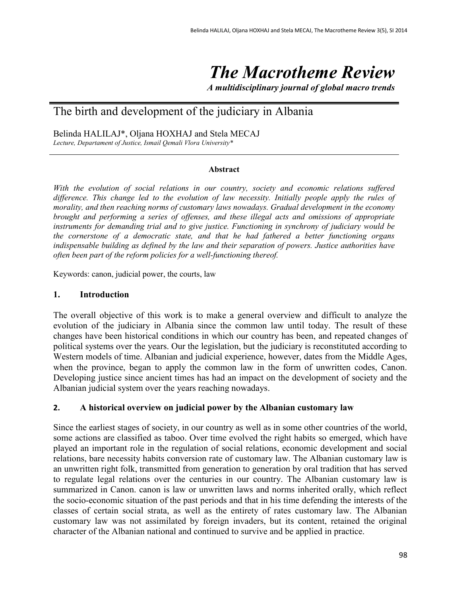# *The Macrotheme Review*

*A multidisciplinary journal of global macro trends*

# The birth and development of the judiciary in Albania

Belinda HALILAJ\*, Oljana HOXHAJ and Stela MECAJ

*Lecture, Departament of Justice, Ismail Qemali Vlora University\**

#### **Abstract**

*With the evolution of social relations in our country, society and economic relations suffered difference. This change led to the evolution of law necessity. Initially people apply the rules of morality, and then reaching norms of customary laws nowadays. Gradual development in the economy brought and performing a series of offenses, and these illegal acts and omissions of appropriate instruments for demanding trial and to give justice. Functioning in synchrony of judiciary would be the cornerstone of a democratic state, and that he had fathered a better functioning organs indispensable building as defined by the law and their separation of powers. Justice authorities have often been part of the reform policies for a well-functioning thereof.*

Keywords: canon, judicial power, the courts, law

#### **1. Introduction**

The overall objective of this work is to make a general overview and difficult to analyze the evolution of the judiciary in Albania since the common law until today. The result of these changes have been historical conditions in which our country has been, and repeated changes of political systems over the years. Our the legislation, but the judiciary is reconstituted according to Western models of time. Albanian and judicial experience, however, dates from the Middle Ages, when the province, began to apply the common law in the form of unwritten codes, Canon. Developing justice since ancient times has had an impact on the development of society and the Albanian judicial system over the years reaching nowadays.

#### **2. A historical overview on judicial power by the Albanian customary law**

Since the earliest stages of society, in our country as well as in some other countries of the world, some actions are classified as taboo. Over time evolved the right habits so emerged, which have played an important role in the regulation of social relations, economic development and social relations, bare necessity habits conversion rate of customary law. The Albanian customary law is an unwritten right folk, transmitted from generation to generation by oral tradition that has served to regulate legal relations over the centuries in our country. The Albanian customary law is summarized in Canon. canon is law or unwritten laws and norms inherited orally, which reflect the socio-economic situation of the past periods and that in his time defending the interests of the classes of certain social strata, as well as the entirety of rates customary law. The Albanian customary law was not assimilated by foreign invaders, but its content, retained the original character of the Albanian national and continued to survive and be applied in practice.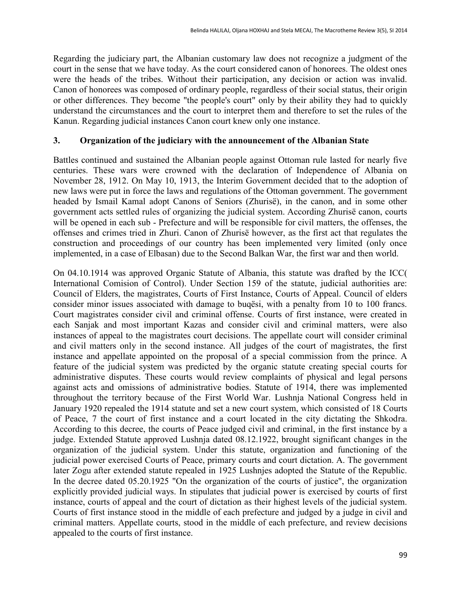Regarding the judiciary part, the Albanian customary law does not recognize a judgment of the court in the sense that we have today. As the court considered canon of honorees. The oldest ones were the heads of the tribes. Without their participation, any decision or action was invalid. Canon of honorees was composed of ordinary people, regardless of their social status, their origin or other differences. They become "the people's court" only by their ability they had to quickly understand the circumstances and the court to interpret them and therefore to set the rules of the Kanun. Regarding judicial instances Canon court knew only one instance.

#### **3. Organization of the judiciary with the announcement of the Albanian State**

Battles continued and sustained the Albanian people against Ottoman rule lasted for nearly five centuries. These wars were crowned with the declaration of Independence of Albania on November 28, 1912. On May 10, 1913, the Interim Government decided that to the adoption of new laws were put in force the laws and regulations of the Ottoman government. The government headed by Ismail Kamal adopt Canons of Seniors (Zhurisë), in the canon, and in some other government acts settled rules of organizing the judicial system. According Zhurisë canon, courts will be opened in each sub - Prefecture and will be responsible for civil matters, the offenses, the offenses and crimes tried in Zhuri. Canon of Zhurisë however, as the first act that regulates the construction and proceedings of our country has been implemented very limited (only once implemented, in a case of Elbasan) due to the Second Balkan War, the first war and then world.

On 04.10.1914 was approved Organic Statute of Albania, this statute was drafted by the ICC( International Comision of Control). Under Section 159 of the statute, judicial authorities are: Council of Elders, the magistrates, Courts of First Instance, Courts of Appeal. Council of elders consider minor issues associated with damage to buqësi, with a penalty from 10 to 100 francs. Court magistrates consider civil and criminal offense. Courts of first instance, were created in each Sanjak and most important Kazas and consider civil and criminal matters, were also instances of appeal to the magistrates court decisions. The appellate court will consider criminal and civil matters only in the second instance. All judges of the court of magistrates, the first instance and appellate appointed on the proposal of a special commission from the prince. A feature of the judicial system was predicted by the organic statute creating special courts for administrative disputes. These courts would review complaints of physical and legal persons against acts and omissions of administrative bodies. Statute of 1914, there was implemented throughout the territory because of the First World War. Lushnja National Congress held in January 1920 repealed the 1914 statute and set a new court system, which consisted of 18 Courts of Peace, 7 the court of first instance and a court located in the city dictating the Shkodra. According to this decree, the courts of Peace judged civil and criminal, in the first instance by a judge. Extended Statute approved Lushnja dated 08.12.1922, brought significant changes in the organization of the judicial system. Under this statute, organization and functioning of the judicial power exercised Courts of Peace, primary courts and court dictation. A. The government later Zogu after extended statute repealed in 1925 Lushnjes adopted the Statute of the Republic. In the decree dated 05.20.1925 "On the organization of the courts of justice", the organization explicitly provided judicial ways. In stipulates that judicial power is exercised by courts of first instance, courts of appeal and the court of dictation as their highest levels of the judicial system. Courts of first instance stood in the middle of each prefecture and judged by a judge in civil and criminal matters. Appellate courts, stood in the middle of each prefecture, and review decisions appealed to the courts of first instance.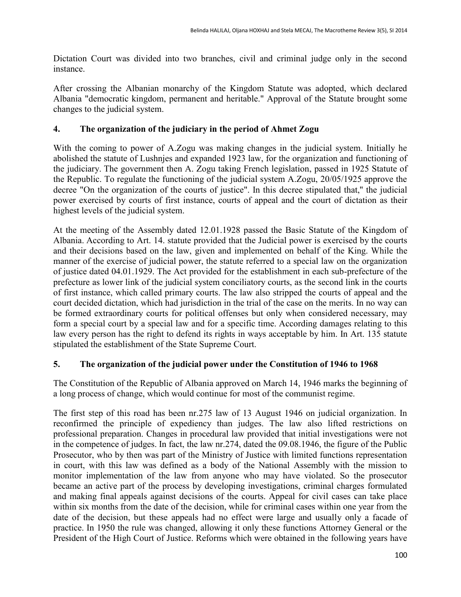Dictation Court was divided into two branches, civil and criminal judge only in the second instance.

After crossing the Albanian monarchy of the Kingdom Statute was adopted, which declared Albania "democratic kingdom, permanent and heritable." Approval of the Statute brought some changes to the judicial system.

#### **4. The organization of the judiciary in the period of Ahmet Zogu**

With the coming to power of A.Zogu was making changes in the judicial system. Initially he abolished the statute of Lushnjes and expanded 1923 law, for the organization and functioning of the judiciary. The government then A. Zogu taking French legislation, passed in 1925 Statute of the Republic. To regulate the functioning of the judicial system A.Zogu, 20/05/1925 approve the decree "On the organization of the courts of justice". In this decree stipulated that," the judicial power exercised by courts of first instance, courts of appeal and the court of dictation as their highest levels of the judicial system.

At the meeting of the Assembly dated 12.01.1928 passed the Basic Statute of the Kingdom of Albania. According to Art. 14. statute provided that the Judicial power is exercised by the courts and their decisions based on the law, given and implemented on behalf of the King. While the manner of the exercise of judicial power, the statute referred to a special law on the organization of justice dated 04.01.1929. The Act provided for the establishment in each sub-prefecture of the prefecture as lower link of the judicial system conciliatory courts, as the second link in the courts of first instance, which called primary courts. The law also stripped the courts of appeal and the court decided dictation, which had jurisdiction in the trial of the case on the merits. In no way can be formed extraordinary courts for political offenses but only when considered necessary, may form a special court by a special law and for a specific time. According damages relating to this law every person has the right to defend its rights in ways acceptable by him. In Art. 135 statute stipulated the establishment of the State Supreme Court.

# **5. The organization of the judicial power under the Constitution of 1946 to 1968**

The Constitution of the Republic of Albania approved on March 14, 1946 marks the beginning of a long process of change, which would continue for most of the communist regime.

The first step of this road has been nr.275 law of 13 August 1946 on judicial organization. In reconfirmed the principle of expediency than judges. The law also lifted restrictions on professional preparation. Changes in procedural law provided that initial investigations were not in the competence of judges. In fact, the law nr.274, dated the 09.08.1946, the figure of the Public Prosecutor, who by then was part of the Ministry of Justice with limited functions representation in court, with this law was defined as a body of the National Assembly with the mission to monitor implementation of the law from anyone who may have violated. So the prosecutor became an active part of the process by developing investigations, criminal charges formulated and making final appeals against decisions of the courts. Appeal for civil cases can take place within six months from the date of the decision, while for criminal cases within one year from the date of the decision, but these appeals had no effect were large and usually only a facade of practice. In 1950 the rule was changed, allowing it only these functions Attorney General or the President of the High Court of Justice. Reforms which were obtained in the following years have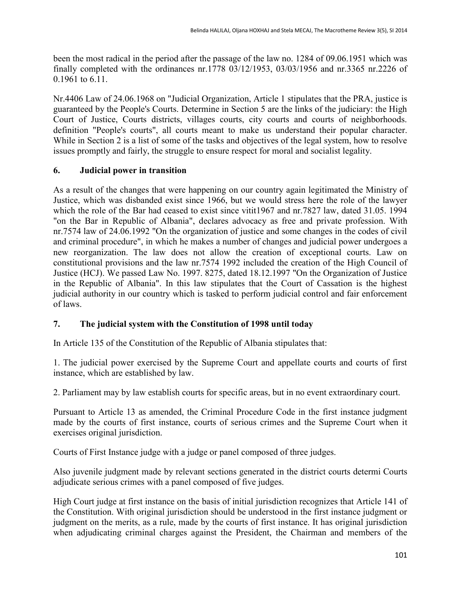been the most radical in the period after the passage of the law no. 1284 of 09.06.1951 which was finally completed with the ordinances nr.1778 03/12/1953, 03/03/1956 and nr.3365 nr.2226 of 0.1961 to 6.11.

Nr.4406 Law of 24.06.1968 on "Judicial Organization, Article 1 stipulates that the PRA, justice is guaranteed by the People's Courts. Determine in Section 5 are the links of the judiciary: the High Court of Justice, Courts districts, villages courts, city courts and courts of neighborhoods. definition "People's courts", all courts meant to make us understand their popular character. While in Section 2 is a list of some of the tasks and objectives of the legal system, how to resolve issues promptly and fairly, the struggle to ensure respect for moral and socialist legality.

# **6. Judicial power in transition**

As a result of the changes that were happening on our country again legitimated the Ministry of Justice, which was disbanded exist since 1966, but we would stress here the role of the lawyer which the role of the Bar had ceased to exist since vitit1967 and nr.7827 law, dated 31.05. 1994 "on the Bar in Republic of Albania", declares advocacy as free and private profession. With nr.7574 law of 24.06.1992 "On the organization of justice and some changes in the codes of civil and criminal procedure", in which he makes a number of changes and judicial power undergoes a new reorganization. The law does not allow the creation of exceptional courts. Law on constitutional provisions and the law nr.7574 1992 included the creation of the High Council of Justice (HCJ). We passed Law No. 1997. 8275, dated 18.12.1997 "On the Organization of Justice in the Republic of Albania". In this law stipulates that the Court of Cassation is the highest judicial authority in our country which is tasked to perform judicial control and fair enforcement of laws.

# **7. The judicial system with the Constitution of 1998 until today**

In Article 135 of the Constitution of the Republic of Albania stipulates that:

1. The judicial power exercised by the Supreme Court and appellate courts and courts of first instance, which are established by law.

2. Parliament may by law establish courts for specific areas, but in no event extraordinary court.

Pursuant to Article 13 as amended, the Criminal Procedure Code in the first instance judgment made by the courts of first instance, courts of serious crimes and the Supreme Court when it exercises original jurisdiction.

Courts of First Instance judge with a judge or panel composed of three judges.

Also juvenile judgment made by relevant sections generated in the district courts determi Courts adjudicate serious crimes with a panel composed of five judges.

High Court judge at first instance on the basis of initial jurisdiction recognizes that Article 141 of the Constitution. With original jurisdiction should be understood in the first instance judgment or judgment on the merits, as a rule, made by the courts of first instance. It has original jurisdiction when adjudicating criminal charges against the President, the Chairman and members of the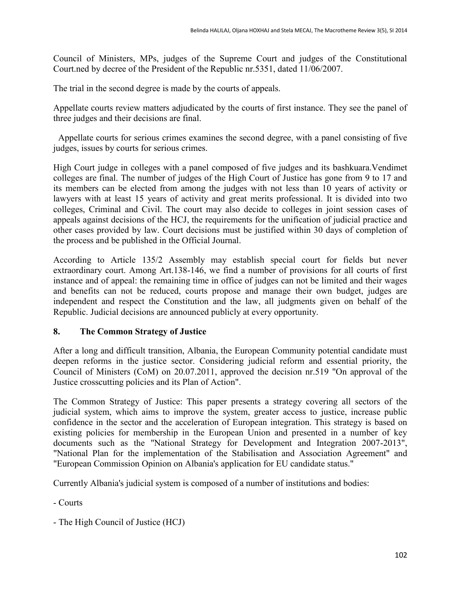Council of Ministers, MPs, judges of the Supreme Court and judges of the Constitutional Court.ned by decree of the President of the Republic nr.5351, dated 11/06/2007.

The trial in the second degree is made by the courts of appeals.

Appellate courts review matters adjudicated by the courts of first instance. They see the panel of three judges and their decisions are final.

Appellate courts for serious crimes examines the second degree, with a panel consisting of five judges, issues by courts for serious crimes.

High Court judge in colleges with a panel composed of five judges and its bashkuara.Vendimet colleges are final. The number of judges of the High Court of Justice has gone from 9 to 17 and its members can be elected from among the judges with not less than 10 years of activity or lawyers with at least 15 years of activity and great merits professional. It is divided into two colleges, Criminal and Civil. The court may also decide to colleges in joint session cases of appeals against decisions of the HCJ, the requirements for the unification of judicial practice and other cases provided by law. Court decisions must be justified within 30 days of completion of the process and be published in the Official Journal.

According to Article 135/2 Assembly may establish special court for fields but never extraordinary court. Among Art.138-146, we find a number of provisions for all courts of first instance and of appeal: the remaining time in office of judges can not be limited and their wages and benefits can not be reduced, courts propose and manage their own budget, judges are independent and respect the Constitution and the law, all judgments given on behalf of the Republic. Judicial decisions are announced publicly at every opportunity.

# **8. The Common Strategy of Justice**

After a long and difficult transition, Albania, the European Community potential candidate must deepen reforms in the justice sector. Considering judicial reform and essential priority, the Council of Ministers (CoM) on 20.07.2011, approved the decision nr.519 "On approval of the Justice crosscutting policies and its Plan of Action".

The Common Strategy of Justice: This paper presents a strategy covering all sectors of the judicial system, which aims to improve the system, greater access to justice, increase public confidence in the sector and the acceleration of European integration. This strategy is based on existing policies for membership in the European Union and presented in a number of key documents such as the "National Strategy for Development and Integration 2007-2013", "National Plan for the implementation of the Stabilisation and Association Agreement" and "European Commission Opinion on Albania's application for EU candidate status."

Currently Albania's judicial system is composed of a number of institutions and bodies:

- Courts

- The High Council of Justice (HCJ)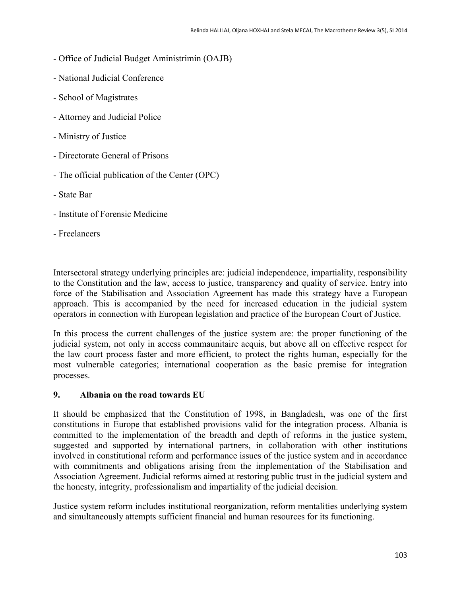- Office of Judicial Budget Aministrimin (OAJB)
- National Judicial Conference
- School of Magistrates
- Attorney and Judicial Police
- Ministry of Justice
- Directorate General of Prisons
- The official publication of the Center (OPC)
- State Bar
- Institute of Forensic Medicine
- Freelancers

Intersectoral strategy underlying principles are: judicial independence, impartiality, responsibility to the Constitution and the law, access to justice, transparency and quality of service. Entry into force of the Stabilisation and Association Agreement has made this strategy have a European approach. This is accompanied by the need for increased education in the judicial system operators in connection with European legislation and practice of the European Court of Justice.

In this process the current challenges of the justice system are: the proper functioning of the judicial system, not only in access commaunitaire acquis, but above all on effective respect for the law court process faster and more efficient, to protect the rights human, especially for the most vulnerable categories; international cooperation as the basic premise for integration processes.

# **9. Albania on the road towards EU**

It should be emphasized that the Constitution of 1998, in Bangladesh, was one of the first constitutions in Europe that established provisions valid for the integration process. Albania is committed to the implementation of the breadth and depth of reforms in the justice system, suggested and supported by international partners, in collaboration with other institutions involved in constitutional reform and performance issues of the justice system and in accordance with commitments and obligations arising from the implementation of the Stabilisation and Association Agreement. Judicial reforms aimed at restoring public trust in the judicial system and the honesty, integrity, professionalism and impartiality of the judicial decision.

Justice system reform includes institutional reorganization, reform mentalities underlying system and simultaneously attempts sufficient financial and human resources for its functioning.